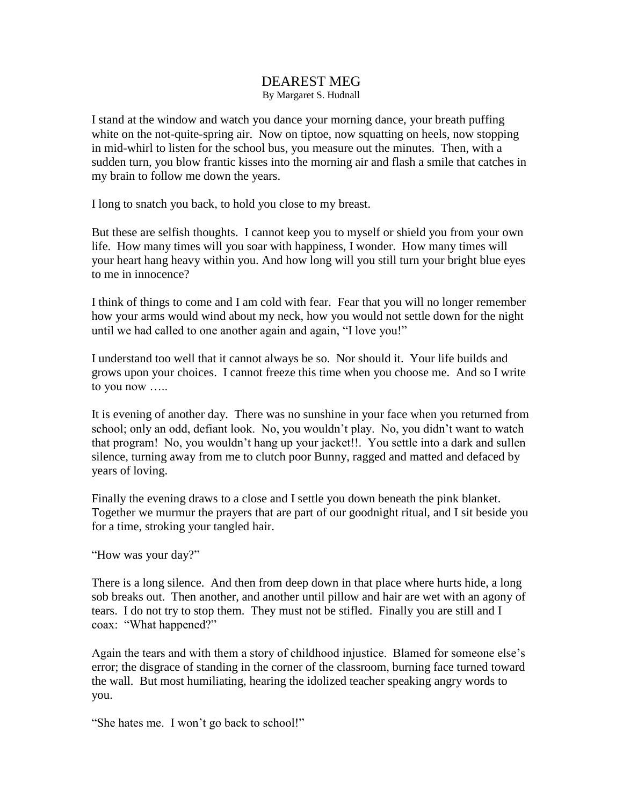## DEAREST MEG By Margaret S. Hudnall

I stand at the window and watch you dance your morning dance, your breath puffing white on the not-quite-spring air. Now on tiptoe, now squatting on heels, now stopping in mid-whirl to listen for the school bus, you measure out the minutes. Then, with a sudden turn, you blow frantic kisses into the morning air and flash a smile that catches in my brain to follow me down the years.

I long to snatch you back, to hold you close to my breast.

But these are selfish thoughts. I cannot keep you to myself or shield you from your own life. How many times will you soar with happiness, I wonder. How many times will your heart hang heavy within you. And how long will you still turn your bright blue eyes to me in innocence?

I think of things to come and I am cold with fear. Fear that you will no longer remember how your arms would wind about my neck, how you would not settle down for the night until we had called to one another again and again, "I love you!"

I understand too well that it cannot always be so. Nor should it. Your life builds and grows upon your choices. I cannot freeze this time when you choose me. And so I write to you now …..

It is evening of another day. There was no sunshine in your face when you returned from school; only an odd, defiant look. No, you wouldn't play. No, you didn't want to watch that program! No, you wouldn't hang up your jacket!!. You settle into a dark and sullen silence, turning away from me to clutch poor Bunny, ragged and matted and defaced by years of loving.

Finally the evening draws to a close and I settle you down beneath the pink blanket. Together we murmur the prayers that are part of our goodnight ritual, and I sit beside you for a time, stroking your tangled hair.

"How was your day?"

There is a long silence. And then from deep down in that place where hurts hide, a long sob breaks out. Then another, and another until pillow and hair are wet with an agony of tears. I do not try to stop them. They must not be stifled. Finally you are still and I coax: "What happened?"

Again the tears and with them a story of childhood injustice. Blamed for someone else's error; the disgrace of standing in the corner of the classroom, burning face turned toward the wall. But most humiliating, hearing the idolized teacher speaking angry words to you.

"She hates me. I won't go back to school!"